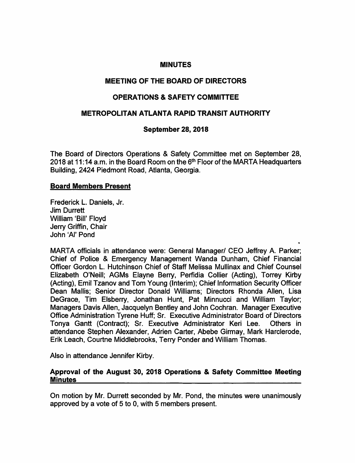## MINUTES

# MEETING OF THE BOARD OF DIRECTORS

# OPERATIONS & SAFETY COMMITTEE

# METROPOLITAN ATLANTA RAPID TRANSIT AUTHORITY

# September 28, 2018

The Board of Directors Operations & Safety Committee met on September 28, 2018 at 11:14 a.m. in the Board Room on the  $6<sup>th</sup>$  Floor of the MARTA Headquarters Building, 2424 Piedmont Road, Atlanta, Georgia.

### Board Members Present

Frederick L. Daniels, Jr. Jim Durrett William 'Bill' Floyd Jerry Griffin, Chair John 'Al' Pond

MARTA officials in attendance were: General Manager/ CEO Jeffrey A. Parker; Chief of Police & Emergency Management Wanda Dunham, Chief Financial Officer Gordon L. Hutchinson Chief of Staff Melissa Mullinax and Chief Counsel Elizabeth O'Neill; AGMs Elayne Berry, Perfidia Collier (Acting), Torrey Kirby (Acting), Emil Tzanov and Tom Young (Interim); Chief Information Security Officer Dean Mallis; Senior Director Donald Williams; Directors Rhonda Allen, Lisa DeGrace, Tim Elsberry, Jonathan Hunt, Pat Minnucci and William Taylor; Managers Davis Allen, Jacquelyn Bentley and John Cochran. Manager Executive Office Administration Tyrene Huff; Sr. Executive Administrator Board of Directors Tonya Gantt (Contract); Sr. Executive Administrator Keri Lee. Others in attendance Stephen Alexander, Adrien Carter, Abebe Girmay, Mark Harclerode, Erik Leach, Courtne Middlebrooks, Terry Ponder and William Thomas.

«

Also in attendance Jennifer Kirby.

### Approval of the August 30, 2018 Operations & Safety Committee Meeting **Minutes**

On motion by Mr. Durrett seconded by Mr. Pond, the minutes were unanimously approved by a vote of 5 to 0, with 5 members present.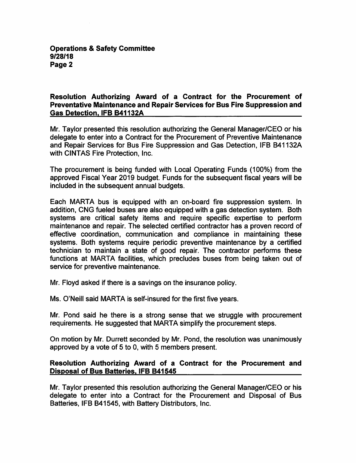### Operations & Safety Committee 9/28/18 Page 2

## Resolution Authorizing Award of a Contract for the Procurement of Preventative Maintenance and Repair Services for Bus Fire Suppression and Gas Detection. IFB 841132A

Mr. Taylor presented this resolution authorizing the General Manager/CEO or his delegate to enter into a Contract for the Procurement of Preventive Maintenance and Repair Services for Bus Fire Suppression and Gas Detection, IFB B41132A with CINTAS Fire Protection, Inc.

The procurement is being funded with Local Operating Funds (100%) from the approved Fiscal Year 2019 budget. Funds for the subsequent fiscal years will be included in the subsequent annual budgets.

Each MARTA bus is equipped with an on-board fire suppression system. In addition, ONG fueled buses are also equipped with a gas detection system. Both systems are critical safety items and require specific expertise to perform maintenance and repair. The selected certified contractor has a proven record of effective coordination, communication and compliance in maintaining these systems. Both systems require periodic preventive maintenance by a certified technician to maintain a state of good repair. The contractor performs these functions at MARTA facilities, which precludes buses from being taken out of service for preventive maintenance.

Mr. Floyd asked if there is a savings on the insurance policy.

Ms. O'Neill said MARTA is self-insured for the first five years.

Mr. Pond said he there is a strong sense that we struggle with procurement requirements. He suggested that MARTA simplify the procurement steps.

On motion by Mr. Durrett seconded by Mr. Pond, the resolution was unanimously approved by a vote of 5 to 0, with 5 members present.

# Resolution Authorizing Award of a Contract for the Procurement and Disposal of Bus Batteries. IFB B41545

Mr. Taylor presented this resolution authorizing the General Manager/CEO or his delegate to enter into a Contract for the Procurement and Disposal of Bus Batteries, IFB B41545, with Battery Distributors, Inc.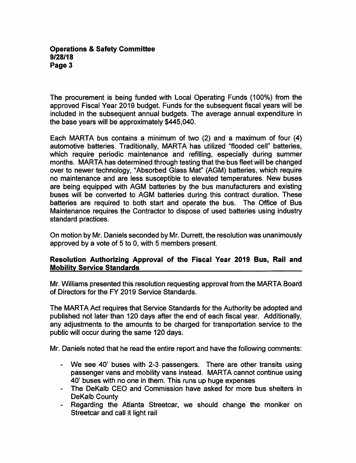### Operations & Safety Committee 9/28/18 Page 3

The procurement is being funded with Local Operating Funds (100%) from the approved Fiscal Year 2019 budget. Funds for the subsequent fiscal years will be included in the subsequent annual budgets. The average annual expenditure in the base years will be approximately \$445,040.

Each MARTA bus contains a minimum of two (2) and a maximum of four (4) automotive batteries. Traditionally, MARTA has utilized "flooded cell" batteries, which require periodic maintenance and refilling, especially during summer months. MARTA has determined through testing that the bus fleet will be changed over to newer technology, "Absorbed Glass Mat" (AGM) batteries, which require no maintenance and are less susceptible to elevated temperatures. New buses are being equipped with AGM batteries by the bus manufacturers and existing buses will be converted to AGM batteries during this contract duration. These batteries are required to both start and operate the bus. The Office of Bus Maintenance requires the Contractor to dispose of used batteries using industry standard practices.

On motion by Mr. Daniels seconded by Mr. Durrett, the resolution was unanimously approved by a vote of 5 to 0, with 5 members present.

# Resolution Authorizing Approval of the Fiscal Year 2019 Bus, Rail and Mobilitv Service Standards

Mr. Williams presented this resolution requesting approval from the MARTA Board of Directors for the FY 2019 Service Standards.

The MARTA Act requires that Service Standards for the Authority be adopted and published not later than 120 days after the end of each fiscal year. Additionally, any adjustments to the amounts to be charged for transportation service to the public will occur during the same 120 days.

Mr. Daniels noted that he read the entire report and have the following comments:

- We see 40' buses with 2-3 passengers. There are other transits using passenger vans and mobility vans instead. MARTA cannot continue using 40' buses with no one in them. This runs up huge expenses
- The DeKalb CEO and Commission have asked for more bus shelters in DeKalb County
- Regarding the Atlanta Streetcar, we should change the moniker on Streetcar and call it light rail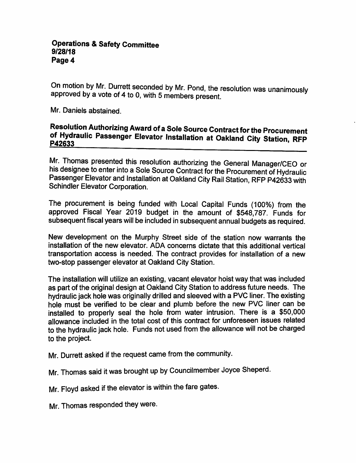On motion by Mr. Durrett seconded by Mr. Pond, the resolution was unanimously approved by a vote of 4 to 0, with 5 members present.

Mr. Daniels abstained.

# Resolution Authorizing Award of a Sole Source Contract for the Procurement of Hydraulic Passenger Elevator Installation at Oakland City Station, RFP P42633

Mr. Thomas presented this resolution authorizing the General Manager/CEO or his designee to enter into a Sole Source Contract for the Procurement of Hydraulic Passenger Elevator and Installation at Oakland City Rail Station, RFP P42633 with Schindler Elevator Corporation.

The procurement is being funded with Local Capital Funds (100%) from the approved Fiscal Year 2019 budget in the amount of \$548,787. Funds for subsequent fiscal years will be included in subsequent annual budgets as required.

New development on the Murphy Street side of the station now warrants the installation of the new elevator. ADA concerns dictate that this additional vertical transportation access is needed. The contract provides for installation of a new two-stop passenger elevator at Oakland City Station.

The installation will utilize an existing, vacant elevator hoist way that was included as part of the original design at Oakland City Station to address future needs. The hydraulic jack hole was originally drilled and sleeved with a PVC liner. The existing hole must be verified to be clear and plumb before the new PVC liner can be installed to properly seal the hole from water intrusion. There is a \$50,000 allowance included in the total cost of this contract for unforeseen issues related to the hydraulic jack hole. Funds not used from the allowance will not be charged to the project.

Mr. Durrett asked if the request came from the community.

Mr. Thomas said it was brought up by Councilmember Joyce Sheperd.

Mr. Floyd asked if the elevator is within the fare gates.

Mr. Thomas responded they were.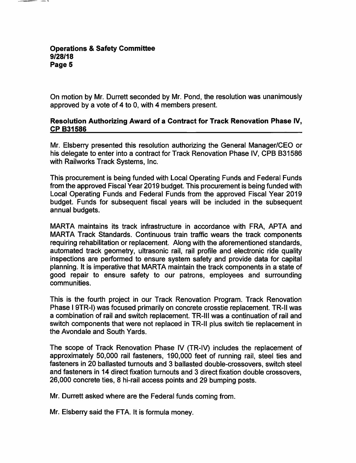On motion by Mr. Durrett seconded by Mr. Pond, the resolution was unanimously approved by a vote of 4 to 0, with 4 members present.

## Resolution Authorizing Award of a Contract for Track Renovation Phase iV, CP B31586

Mr. Elsberry presented this resolution authorizing the General Manager/CEO or his delegate to enter into a contract for Track Renovation Phase IV, CPB B31586 with Railworks Track Systems, Inc.

This procurement is being funded with Local Operating Funds and Federal Funds from the approved Fiscal Year 2019 budget. This procurement is being funded with Local Operating Funds and Federal Funds from the approved Fiscal Year 2019 budget. Funds for subsequent fiscal years will be included in the subsequent annual budgets.

MARTA maintains its track infrastructure in accordance with FRA, APTA and MARTA Track Standards. Continuous train traffic wears the track components requiring rehabilitation or replacement. Along with the aforementioned standards, automated track geometry, ultrasonic rail, rail profile and electronic ride quality inspections are performed to ensure system safety and provide data for capital planning. It is imperative that MARTA maintain the track components in a state of good repair to ensure safety to our patrons, employees and surrounding communities.

This is the fourth project in our Track Renovation Program. Track Renovation Phase I 9TR-I) was focused primarily on concrete crosstie replacement. TR-II was a combination of rail and switch replacement. TR-III was a continuation of rail and switch components that were not replaced in TR-II plus switch tie replacement in the Avondale and South Yards.

The scope of Track Renovation Phase IV (TR-IV) includes the replacement of approximately 50,000 rail fasteners, 190,000 feet of running rail, steel ties and fasteners in 20 ballasted turnouts and 3 ballasted double-crossovers, switch steel and fasteners in 14 direct fixation turnouts and 3 direct fixation double crossovers, 26,000 concrete ties, 8 hi-rail access points and 29 bumping posts.

Mr. Durrett asked where are the Federal funds coming from.

Mr. Elsberry said the FTA. It is formula money.